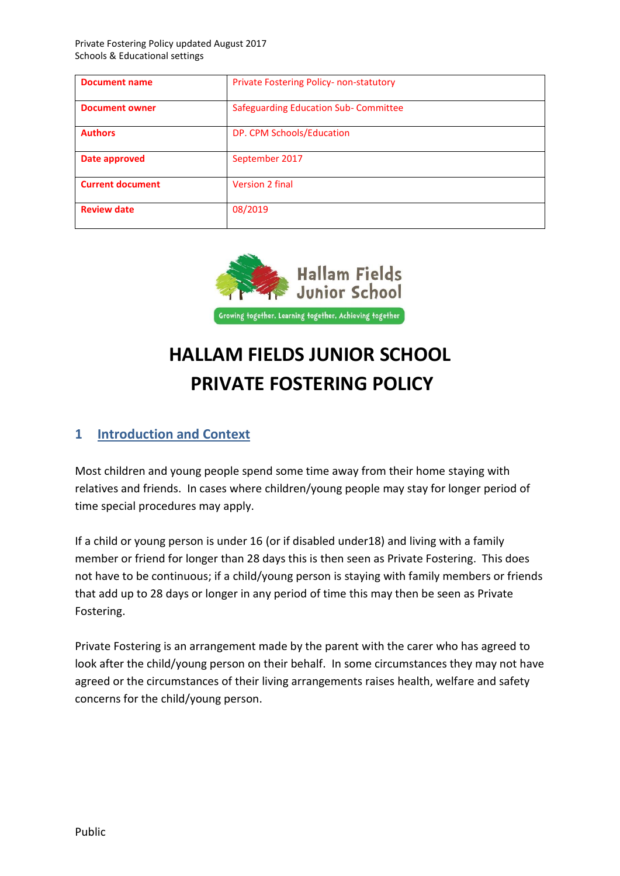| <b>Document name</b>    | <b>Private Fostering Policy- non-statutory</b> |  |
|-------------------------|------------------------------------------------|--|
| <b>Document owner</b>   | Safeguarding Education Sub-Committee           |  |
| <b>Authors</b>          | DP. CPM Schools/Education                      |  |
| Date approved           | September 2017                                 |  |
| <b>Current document</b> | Version 2 final                                |  |
| <b>Review date</b>      | 08/2019                                        |  |



# **HALLAM FIELDS JUNIOR SCHOOL PRIVATE FOSTERING POLICY**

### **1 Introduction and Context**

Most children and young people spend some time away from their home staying with relatives and friends. In cases where children/young people may stay for longer period of time special procedures may apply.

If a child or young person is under 16 (or if disabled under18) and living with a family member or friend for longer than 28 days this is then seen as Private Fostering. This does not have to be continuous; if a child/young person is staying with family members or friends that add up to 28 days or longer in any period of time this may then be seen as Private Fostering.

Private Fostering is an arrangement made by the parent with the carer who has agreed to look after the child/young person on their behalf. In some circumstances they may not have agreed or the circumstances of their living arrangements raises health, welfare and safety concerns for the child/young person.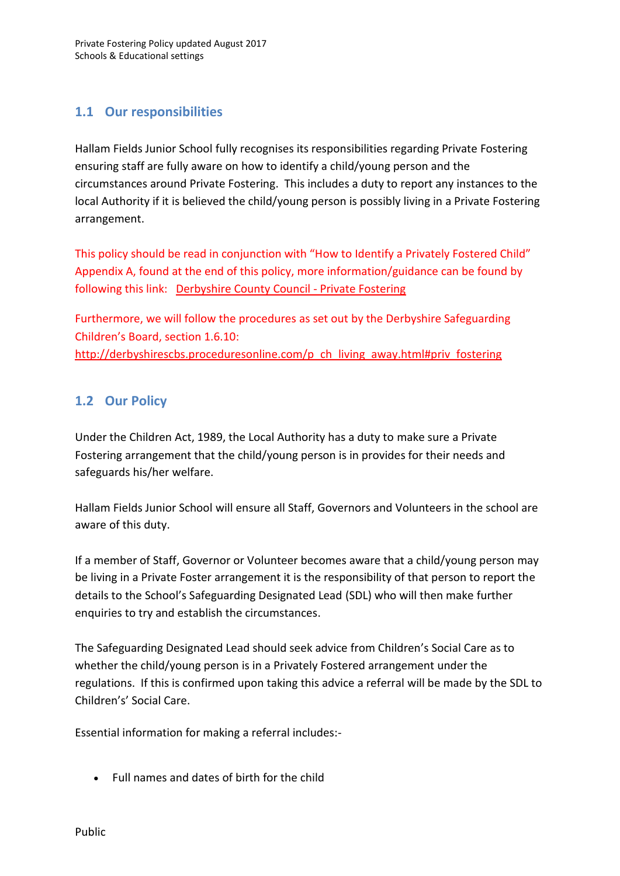# **1.1 Our responsibilities**

Hallam Fields Junior School fully recognises its responsibilities regarding Private Fostering ensuring staff are fully aware on how to identify a child/young person and the circumstances around Private Fostering. This includes a duty to report any instances to the local Authority if it is believed the child/young person is possibly living in a Private Fostering arrangement.

This policy should be read in conjunction with "How to Identify a Privately Fostered Child" Appendix A, found at the end of this policy, more information/guidance can be found by following this link: [Derbyshire County Council -](http://www.derbyshire.gov.uk/social_health/children_and_families/adoption_and_fostering/fostering/become_foster_carer/types_fostering/private_fostering/default.asp) Private Fostering

Furthermore, we will follow the procedures as set out by the Derbyshire Safeguarding Children's Board, section 1.6.10: [http://derbyshirescbs.proceduresonline.com/p\\_ch\\_living\\_away.html#priv\\_fostering](http://derbyshirescbs.proceduresonline.com/p_ch_living_away.html#priv_fostering)

# **1.2 Our Policy**

Under the Children Act, 1989, the Local Authority has a duty to make sure a Private Fostering arrangement that the child/young person is in provides for their needs and safeguards his/her welfare.

Hallam Fields Junior School will ensure all Staff, Governors and Volunteers in the school are aware of this duty.

If a member of Staff, Governor or Volunteer becomes aware that a child/young person may be living in a Private Foster arrangement it is the responsibility of that person to report the details to the School's Safeguarding Designated Lead (SDL) who will then make further enquiries to try and establish the circumstances.

The Safeguarding Designated Lead should seek advice from Children's Social Care as to whether the child/young person is in a Privately Fostered arrangement under the regulations. If this is confirmed upon taking this advice a referral will be made by the SDL to Children's' Social Care.

Essential information for making a referral includes:-

Full names and dates of birth for the child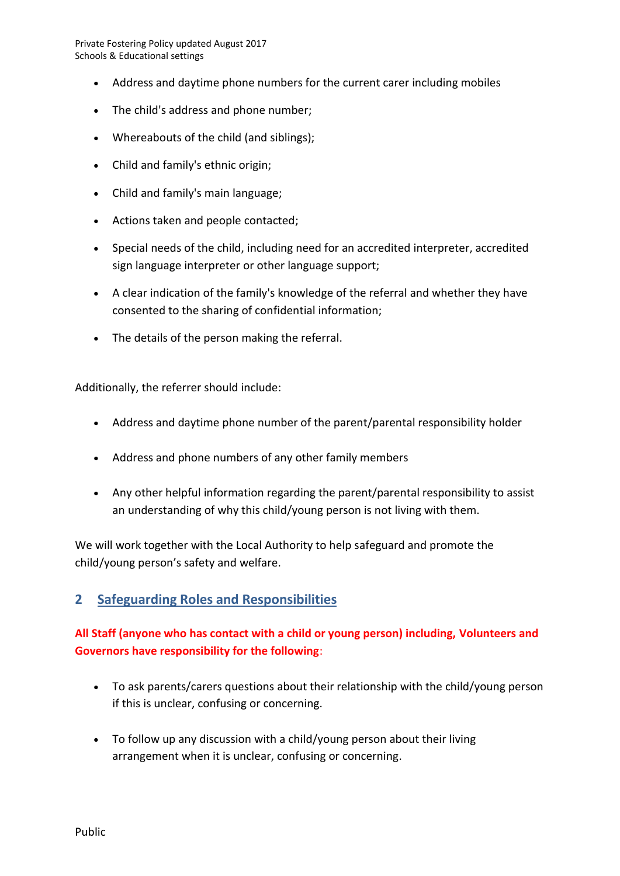- Address and daytime phone numbers for the current carer including mobiles
- The child's address and phone number:
- Whereabouts of the child (and siblings);
- Child and family's ethnic origin;
- Child and family's main language;
- Actions taken and people contacted;
- Special needs of the child, including need for an accredited interpreter, accredited sign language interpreter or other language support;
- A clear indication of the family's knowledge of the referral and whether they have consented to the sharing of confidential information;
- The details of the person making the referral.

Additionally, the referrer should include:

- Address and daytime phone number of the parent/parental responsibility holder
- Address and phone numbers of any other family members
- Any other helpful information regarding the parent/parental responsibility to assist an understanding of why this child/young person is not living with them.

We will work together with the Local Authority to help safeguard and promote the child/young person's safety and welfare.

#### **2 Safeguarding Roles and Responsibilities**

#### **All Staff (anyone who has contact with a child or young person) including, Volunteers and Governors have responsibility for the following**:

- To ask parents/carers questions about their relationship with the child/young person if this is unclear, confusing or concerning.
- To follow up any discussion with a child/young person about their living arrangement when it is unclear, confusing or concerning.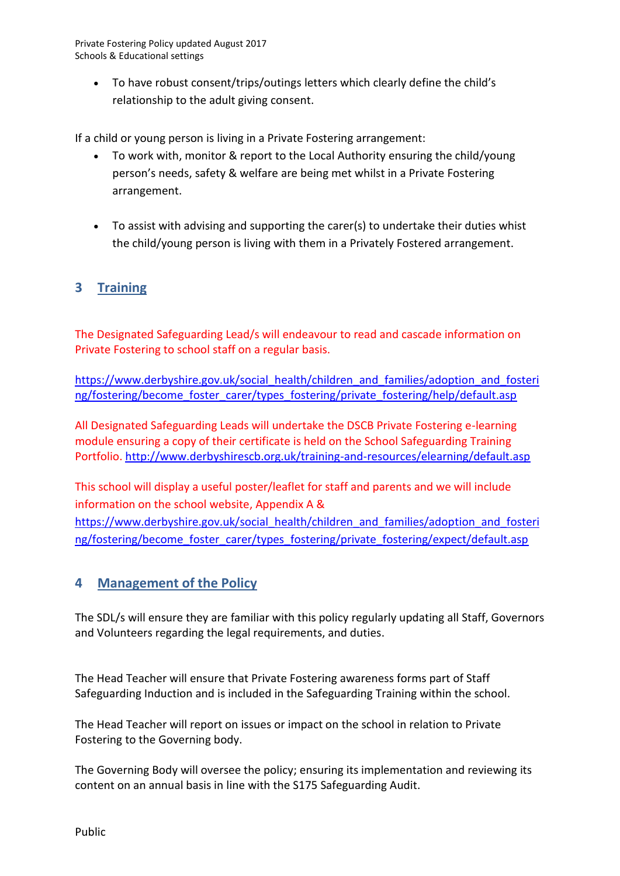To have robust consent/trips/outings letters which clearly define the child's relationship to the adult giving consent.

If a child or young person is living in a Private Fostering arrangement:

- To work with, monitor & report to the Local Authority ensuring the child/young person's needs, safety & welfare are being met whilst in a Private Fostering arrangement.
- To assist with advising and supporting the carer(s) to undertake their duties whist the child/young person is living with them in a Privately Fostered arrangement.

# **3 Training**

The Designated Safeguarding Lead/s will endeavour to read and cascade information on Private Fostering to school staff on a regular basis.

[https://www.derbyshire.gov.uk/social\\_health/children\\_and\\_families/adoption\\_and\\_fosteri](https://www.derbyshire.gov.uk/social_health/children_and_families/adoption_and_fostering/fostering/become_foster_carer/types_fostering/private_fostering/help/default.asp) [ng/fostering/become\\_foster\\_carer/types\\_fostering/private\\_fostering/help/default.asp](https://www.derbyshire.gov.uk/social_health/children_and_families/adoption_and_fostering/fostering/become_foster_carer/types_fostering/private_fostering/help/default.asp)

All Designated Safeguarding Leads will undertake the DSCB Private Fostering e-learning module ensuring a copy of their certificate is held on the School Safeguarding Training Portfolio.<http://www.derbyshirescb.org.uk/training-and-resources/elearning/default.asp>

This school will display a useful poster/leaflet for staff and parents and we will include information on the school website, Appendix A & [https://www.derbyshire.gov.uk/social\\_health/children\\_and\\_families/adoption\\_and\\_fosteri](https://www.derbyshire.gov.uk/social_health/children_and_families/adoption_and_fostering/fostering/become_foster_carer/types_fostering/private_fostering/expect/default.asp) [ng/fostering/become\\_foster\\_carer/types\\_fostering/private\\_fostering/expect/default.asp](https://www.derbyshire.gov.uk/social_health/children_and_families/adoption_and_fostering/fostering/become_foster_carer/types_fostering/private_fostering/expect/default.asp)

#### **4 Management of the Policy**

The SDL/s will ensure they are familiar with this policy regularly updating all Staff, Governors and Volunteers regarding the legal requirements, and duties.

The Head Teacher will ensure that Private Fostering awareness forms part of Staff Safeguarding Induction and is included in the Safeguarding Training within the school.

The Head Teacher will report on issues or impact on the school in relation to Private Fostering to the Governing body.

The Governing Body will oversee the policy; ensuring its implementation and reviewing its content on an annual basis in line with the S175 Safeguarding Audit.